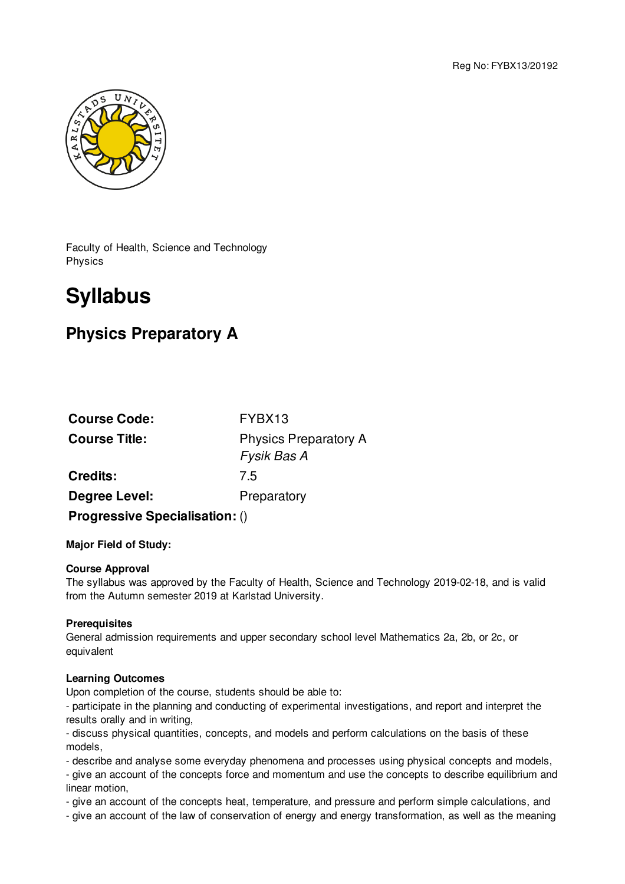Reg No: FYBX13/20192



Faculty of Health, Science and Technology Physics

# **Syllabus**

# **Physics Preparatory A**

| <b>Course Code:</b>                   | FYBX13                                      |
|---------------------------------------|---------------------------------------------|
| <b>Course Title:</b>                  | <b>Physics Preparatory A</b><br>Fysik Bas A |
| <b>Credits:</b>                       | 7.5                                         |
| Degree Level:                         | Preparatory                                 |
| <b>Progressive Specialisation: ()</b> |                                             |

## **Major Field of Study:**

#### **Course Approval**

The syllabus was approved by the Faculty of Health, Science and Technology 2019-02-18, and is valid from the Autumn semester 2019 at Karlstad University.

#### **Prerequisites**

General admission requirements and upper secondary school level Mathematics 2a, 2b, or 2c, or equivalent

#### **Learning Outcomes**

Upon completion of the course, students should be able to:

- participate in the planning and conducting of experimental investigations, and report and interpret the results orally and in writing,

- discuss physical quantities, concepts, and models and perform calculations on the basis of these models,

- describe and analyse some everyday phenomena and processes using physical concepts and models,

- give an account of the concepts force and momentum and use the concepts to describe equilibrium and linear motion,

- give an account of the concepts heat, temperature, and pressure and perform simple calculations, and

- give an account of the law of conservation of energy and energy transformation, as well as the meaning